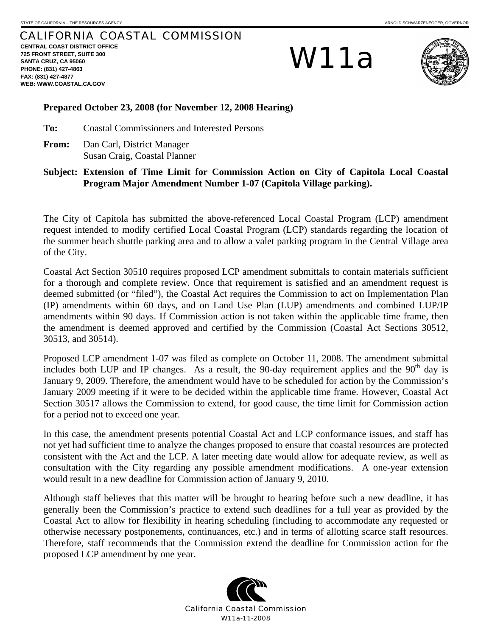## CALIFORNIA COASTAL COMMISSION

**CENTRAL COAST DISTRICT OFFICE 725 FRONT STREET, SUITE 300 SANTA CRUZ, CA 95060 PHONE: (831) 427-4863 FAX: (831) 427-4877 WEB: WWW.COASTAL.CA.GOV**

W11a



## **Prepared October 23, 2008 (for November 12, 2008 Hearing)**

**To:** Coastal Commissioners and Interested Persons

**From:** Dan Carl, District Manager Susan Craig, Coastal Planner

**Subject: Extension of Time Limit for Commission Action on City of Capitola Local Coastal Program Major Amendment Number 1-07 (Capitola Village parking).** 

The City of Capitola has submitted the above-referenced Local Coastal Program (LCP) amendment request intended to modify certified Local Coastal Program (LCP) standards regarding the location of the summer beach shuttle parking area and to allow a valet parking program in the Central Village area of the City.

Coastal Act Section 30510 requires proposed LCP amendment submittals to contain materials sufficient for a thorough and complete review. Once that requirement is satisfied and an amendment request is deemed submitted (or "filed"), the Coastal Act requires the Commission to act on Implementation Plan (IP) amendments within 60 days, and on Land Use Plan (LUP) amendments and combined LUP/IP amendments within 90 days. If Commission action is not taken within the applicable time frame, then the amendment is deemed approved and certified by the Commission (Coastal Act Sections 30512, 30513, and 30514).

Proposed LCP amendment 1-07 was filed as complete on October 11, 2008. The amendment submittal includes both LUP and IP changes. As a result, the 90-day requirement applies and the  $90<sup>th</sup>$  day is January 9, 2009. Therefore, the amendment would have to be scheduled for action by the Commission's January 2009 meeting if it were to be decided within the applicable time frame. However, Coastal Act Section 30517 allows the Commission to extend, for good cause, the time limit for Commission action for a period not to exceed one year.

In this case, the amendment presents potential Coastal Act and LCP conformance issues, and staff has not yet had sufficient time to analyze the changes proposed to ensure that coastal resources are protected consistent with the Act and the LCP. A later meeting date would allow for adequate review, as well as consultation with the City regarding any possible amendment modifications. A one-year extension would result in a new deadline for Commission action of January 9, 2010.

Although staff believes that this matter will be brought to hearing before such a new deadline, it has generally been the Commission's practice to extend such deadlines for a full year as provided by the Coastal Act to allow for flexibility in hearing scheduling (including to accommodate any requested or otherwise necessary postponements, continuances, etc.) and in terms of allotting scarce staff resources. Therefore, staff recommends that the Commission extend the deadline for Commission action for the proposed LCP amendment by one year.